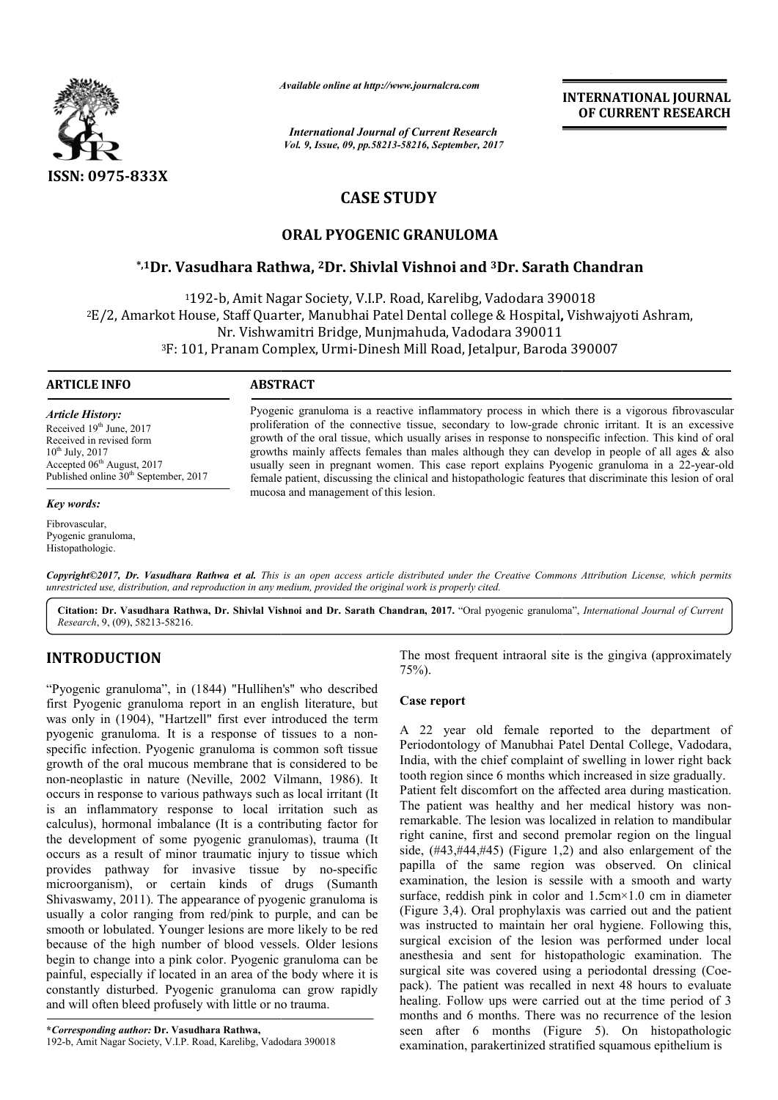

*Available online at http://www.journalcra.com*

*International Journal of Current Research Vol. 9, Issue, 09, pp.58213-58216, September, 2017* **INTERNATIONAL JOURNAL OF CURRENT RESEARCH**

# **CASE STUDY**

# **ORAL PYOGENIC GRANULOMA**

# **\*,1Dr. Vasudhara Rathwa Rathwa, 2Dr. Shivlal Vishnoi and 3Dr. Sarath Chandran**

1192-b, Amit Nagar Society, V.I.P. Road, Karelibg, Vadodara 390018  $^{2}{\rm E}/2$ , Amarkot House, Staff Quarter, Manubhai Patel Dental college & Hospital, Vishwajyoti Ashram, Nr. Vishwamit Vishwamitri Bridge, Munjmahuda, Vadodara 390011 <sup>3</sup>F: 101, Pranam Complex, Urmi-Dinesh Mill Road, Jetalpur, Baroda 390007

#### **ARTICLE INFO ABSTRACT**

*Article History:* Received 19<sup>th</sup> June, 2017 Received in revised form 10th July, 2017 Accepted 06<sup>th</sup> August, 2017 Published online 30<sup>th</sup> September, 2017

#### *Key words:*

Fibrovascular, Pyogenic granuloma, Histopathologic.

Pyogenic granuloma is a reactive inflammatory process in which there is a vigorous fibrovascular proliferation of the connective tissue, secondary to low-grade chronic irritant. It is an excessive growth of the oral tissue, which usually arises in response to nonspecific infection. This kind of oral growths mainly affects females than males although they can develop in people of all ages & also usually seen in pregnant women. This case report explains Pyogenic granuloma in a 22-year-old female patient, discussing the clinical and histopathologic features that discriminate this lesion of oral mucosa and management of this lesion.

Copyright©2017, Dr. Vasudhara Rathwa et al. This is an open access article distributed under the Creative Commons Attribution License, which permits unrestricted use, distribution, and reproduction in any medium, provided the original work is properly cited.

Citation: Dr. Vasudhara Rathwa, Dr. Shivlal Vishnoi and Dr. Sarath Chandran, 2017. "Oral pyogenic granuloma", International Journal of Current *Research*, 9, (09), 58213-58216.

# **INTRODUCTION**

"Pyogenic granuloma", in (1844) "Hullihen's'' who described first Pyogenic granuloma report in an english literature, but was only in (1904), "Hartzell" first ever introduced the term pyogenic granuloma. It is a response of tissues to a nonspecific infection. Pyogenic granuloma is common soft tissue growth of the oral mucous membrane that is considered to be non-neoplastic in nature (Neville, 2002 Vilmann, 1986). It occurs in response to various pathways such as local irritant (It is an inflammatory response to local irritation such as calculus), hormonal imbalance (It is a contributing factor for the development of some pyogenic granulomas), trauma (It occurs as a result of minor traumatic injury to tissue which provides pathway for invasive tissue by no-specific microorganism), or certain kinds of drugs (Sumanth Shivaswamy, 2011). The appearance of pyogenic granuloma is usually a color ranging from red/pink to purple, and can be smooth or lobulated. Younger lesions are more likely to be red because of the high number of blood vessels. Older lesions begin to change into a pink color. Pyogenic granuloma can be painful, especially if located in an area of the body where it is constantly disturbed. Pyogenic granuloma can grow rapidly and will often bleed profusely with little or no trauma. **TRODUCTION**<br>
The most frequent intraoral site<br>
ogenic granuloma", in (1844) "Hullihen's" who described<br>
orgiv in (1904), "Hartzell" first ever introduced the lerm<br>
contine (moreover that are response of issues to a non-<br>

75%). The most frequent intraoral site is the gingiva (approximately

## **Case report**

A 22 year old female reported to the department of Periodontology of Manubhai Patel Dental College, Vadodara, India, with the chief complaint of swelling in lower right back tooth region since 6 months which increased in size gradually. Patient felt discomfort on the affected area during mastication. The patient was healthy and her medical history was nonremarkable. The lesion was localized in relation to mandibular right canine, first and second premolar region on the lingual side, (#43,#44,#45) (Figure 1,2) and also enlargement of the papilla of the same region was observed. On clinical examination, the lesion is sessile with a smooth and warty surface, reddish pink in color and 1.5cm×1.0 cm in diameter (Figure 3,4). Oral prophylaxis was carried out and the patient was instructed to maintain her oral hygiene. Following this, surgical excision of the lesion was performed under local anesthesia and sent for histopathologic examination. The surgical site was covered using a periodontal dressing (Coepack). The patient was recalled in next 48 hours to evaluate healing. Follow ups were carried out at the time period of 3 months and 6 months. There was no recurrence of the lesion seen after 6 months (Figure 5). On histopathologic examination, parakertinized stratified squamous epithelium is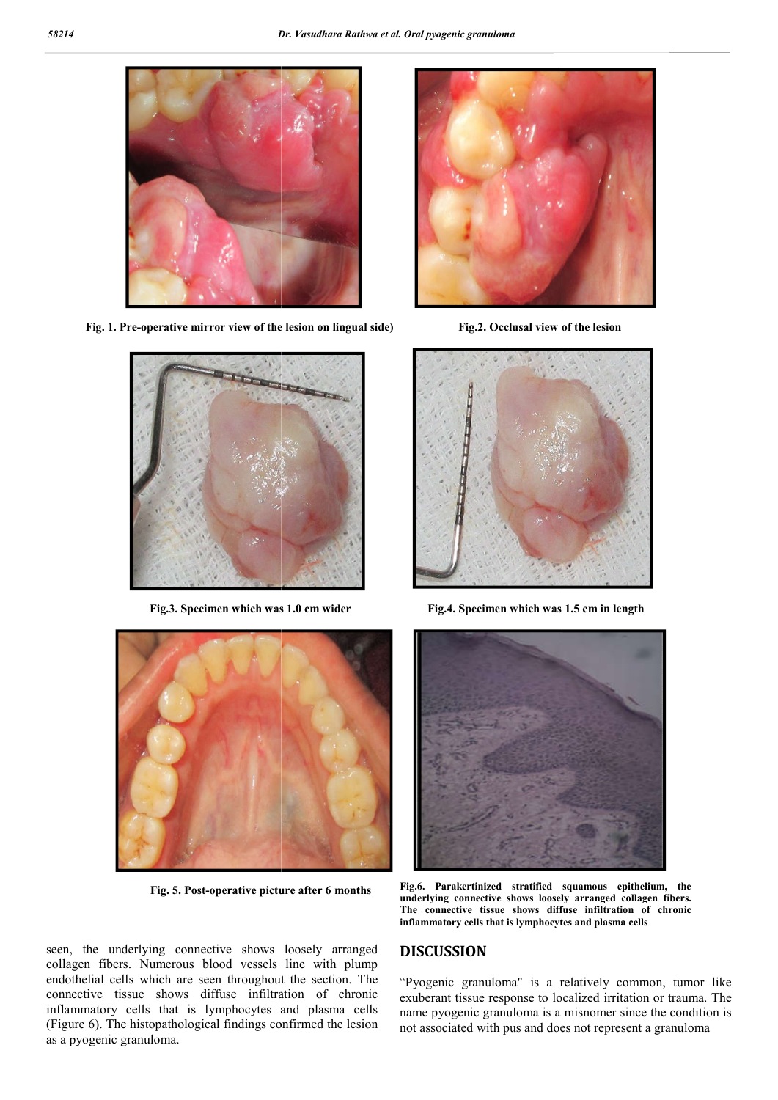

**Fig. 1. Pre-operative mirror view of the lesion on lingual side) Fig.2. Occlusal view of the lesion** 



 **Fig.3. Specimen which was 1.0 cm wider**



 **Fig. 5. Post-operative picture after**





Fig.4. Specimen which was 1.5 cm in length



Fig.6. Parakertinized stratified squamous epithelium, the **underlying connective shows loosely arranged collagen fibers. The connective tissue shows diffuse infiltration of chronic inflammatory cells that is lymphocytes and plasma cells**

seen, the underlying connective shows loosely arranged collagen fibers. Numerous blood vessels line with plump endothelial cells which are seen throughout the section. The connective tissue shows diffuse infiltration of chronic inflammatory cells that is lymphocytes and plasma cells (Figure 6). The histopathological findings confirmed the lesion as a pyogenic granuloma.

# **DISCUSSION**

"Pyogenic granuloma" is a relatively common, tumor like exuberant tissue response to localized irritation or trauma. The name pyogenic granuloma is a misnomer since the condition is not associated with pus and does not represent a granuloma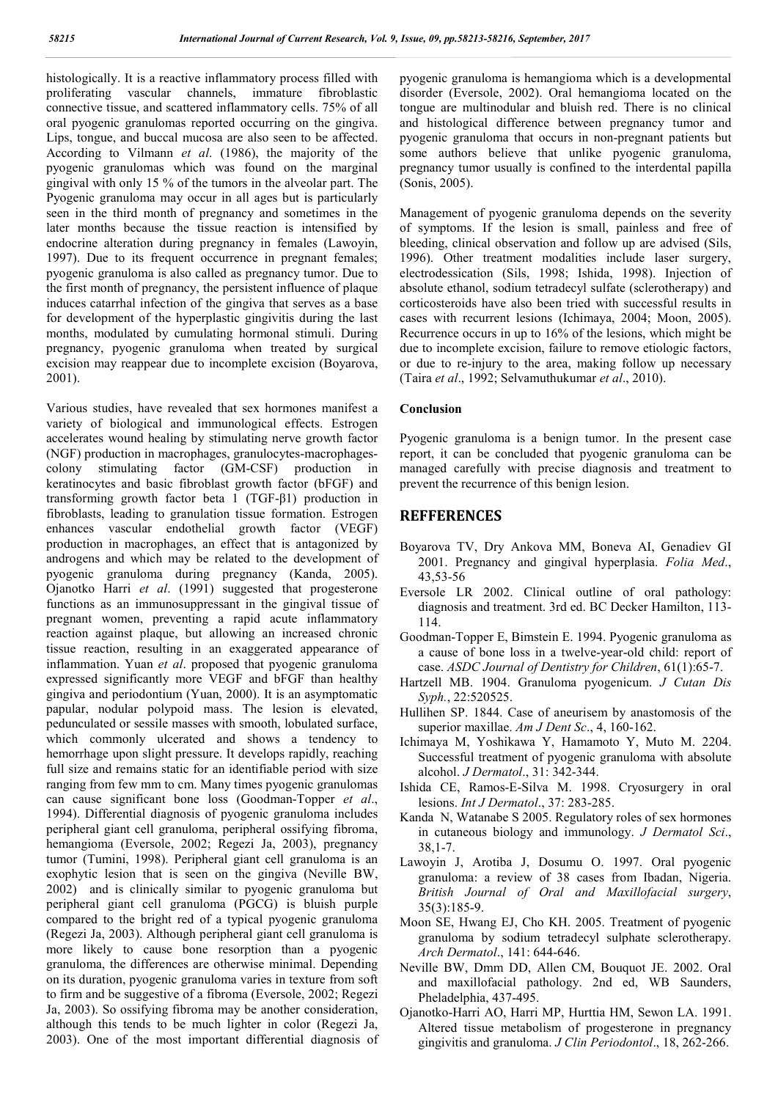histologically. It is a reactive inflammatory process filled with proliferating vascular channels, immature fibroblastic connective tissue, and scattered inflammatory cells. 75% of all oral pyogenic granulomas reported occurring on the gingiva. Lips, tongue, and buccal mucosa are also seen to be affected. According to Vilmann *et al*. (1986), the majority of the pyogenic granulomas which was found on the marginal gingival with only 15 % of the tumors in the alveolar part. The Pyogenic granuloma may occur in all ages but is particularly seen in the third month of pregnancy and sometimes in the later months because the tissue reaction is intensified by endocrine alteration during pregnancy in females (Lawoyin, 1997). Due to its frequent occurrence in pregnant females; pyogenic granuloma is also called as pregnancy tumor. Due to the first month of pregnancy, the persistent influence of plaque induces catarrhal infection of the gingiva that serves as a base for development of the hyperplastic gingivitis during the last months, modulated by cumulating hormonal stimuli. During pregnancy, pyogenic granuloma when treated by surgical excision may reappear due to incomplete excision (Boyarova, 2001).

Various studies, have revealed that sex hormones manifest a variety of biological and immunological effects. Estrogen accelerates wound healing by stimulating nerve growth factor (NGF) production in macrophages, granulocytes-macrophagescolony stimulating factor (GM-CSF) production in keratinocytes and basic fibroblast growth factor (bFGF) and transforming growth factor beta 1 (TGF-β1) production in fibroblasts, leading to granulation tissue formation. Estrogen enhances vascular endothelial growth factor (VEGF) production in macrophages, an effect that is antagonized by androgens and which may be related to the development of pyogenic granuloma during pregnancy (Kanda, 2005). Ojanotko Harri *et al*. (1991) suggested that progesterone functions as an immunosuppressant in the gingival tissue of pregnant women, preventing a rapid acute inflammatory reaction against plaque, but allowing an increased chronic tissue reaction, resulting in an exaggerated appearance of inflammation. Yuan *et al*. proposed that pyogenic granuloma expressed significantly more VEGF and bFGF than healthy gingiva and periodontium (Yuan, 2000). It is an asymptomatic papular, nodular polypoid mass. The lesion is elevated, pedunculated or sessile masses with smooth, lobulated surface, which commonly ulcerated and shows a tendency to hemorrhage upon slight pressure. It develops rapidly, reaching full size and remains static for an identifiable period with size ranging from few mm to cm. Many times pyogenic granulomas can cause significant bone loss (Goodman-Topper *et al*., 1994). Differential diagnosis of pyogenic granuloma includes peripheral giant cell granuloma, peripheral ossifying fibroma, hemangioma (Eversole, 2002; Regezi Ja, 2003), pregnancy tumor (Tumini, 1998). Peripheral giant cell granuloma is an exophytic lesion that is seen on the gingiva (Neville BW, 2002) and is clinically similar to pyogenic granuloma but peripheral giant cell granuloma (PGCG) is bluish purple compared to the bright red of a typical pyogenic granuloma (Regezi Ja, 2003). Although peripheral giant cell granuloma is more likely to cause bone resorption than a pyogenic granuloma, the differences are otherwise minimal. Depending on its duration, pyogenic granuloma varies in texture from soft to firm and be suggestive of a fibroma (Eversole, 2002; Regezi Ja, 2003). So ossifying fibroma may be another consideration, although this tends to be much lighter in color (Regezi Ja, 2003). One of the most important differential diagnosis of pyogenic granuloma is hemangioma which is a developmental disorder (Eversole, 2002). Oral hemangioma located on the tongue are multinodular and bluish red. There is no clinical and histological difference between pregnancy tumor and pyogenic granuloma that occurs in non-pregnant patients but some authors believe that unlike pyogenic granuloma, pregnancy tumor usually is confined to the interdental papilla (Sonis, 2005).

Management of pyogenic granuloma depends on the severity of symptoms. If the lesion is small, painless and free of bleeding, clinical observation and follow up are advised (Sils, 1996). Other treatment modalities include laser surgery, electrodessication (Sils, 1998; Ishida, 1998). Injection of absolute ethanol, sodium tetradecyl sulfate (sclerotherapy) and corticosteroids have also been tried with successful results in cases with recurrent lesions (Ichimaya, 2004; Moon, 2005). Recurrence occurs in up to 16% of the lesions, which might be due to incomplete excision, failure to remove etiologic factors, or due to re-injury to the area, making follow up necessary (Taira *et al*., 1992; Selvamuthukumar *et al*., 2010).

#### **Conclusion**

Pyogenic granuloma is a benign tumor. In the present case report, it can be concluded that pyogenic granuloma can be managed carefully with precise diagnosis and treatment to prevent the recurrence of this benign lesion.

## **REFFERENCES**

- Boyarova TV, Dry Ankova MM, Boneva AI, Genadiev GI 2001. Pregnancy and gingival hyperplasia. *Folia Med*., 43,53-56
- Eversole LR 2002. Clinical outline of oral pathology: diagnosis and treatment. 3rd ed. BC Decker Hamilton, 113- 114.
- Goodman-Topper E, Bimstein E. 1994. Pyogenic granuloma as a cause of bone loss in a twelve-year-old child: report of case. *ASDC Journal of Dentistry for Children*, 61(1):65-7.
- Hartzell MB. 1904. Granuloma pyogenicum. *J Cutan Dis Syph.*, 22:520525.
- Hullihen SP. 1844. Case of aneurisem by anastomosis of the superior maxillae. *Am J Dent Sc*., 4, 160-162.
- Ichimaya M, Yoshikawa Y, Hamamoto Y, Muto M. 2204. Successful treatment of pyogenic granuloma with absolute alcohol. *J Dermatol*., 31: 342-344.
- Ishida CE, Ramos-E-Silva M. 1998. Cryosurgery in oral lesions. *Int J Dermatol*., 37: 283-285.
- Kanda N, Watanabe S 2005. Regulatory roles of sex hormones in cutaneous biology and immunology. *J Dermatol Sci*., 38,1-7.
- Lawoyin J, Arotiba J, Dosumu O. 1997. Oral pyogenic granuloma: a review of 38 cases from Ibadan, Nigeria. *British Journal of Oral and Maxillofacial surgery*, 35(3):185-9.
- Moon SE, Hwang EJ, Cho KH. 2005. Treatment of pyogenic granuloma by sodium tetradecyl sulphate sclerotherapy. *Arch Dermatol*., 141: 644-646.
- Neville BW, Dmm DD, Allen CM, Bouquot JE. 2002. Oral and maxillofacial pathology. 2nd ed, WB Saunders, Pheladelphia, 437-495.
- Ojanotko-Harri AO, Harri MP, Hurttia HM, Sewon LA. 1991. Altered tissue metabolism of progesterone in pregnancy gingivitis and granuloma. *J Clin Periodontol*., 18, 262-266.